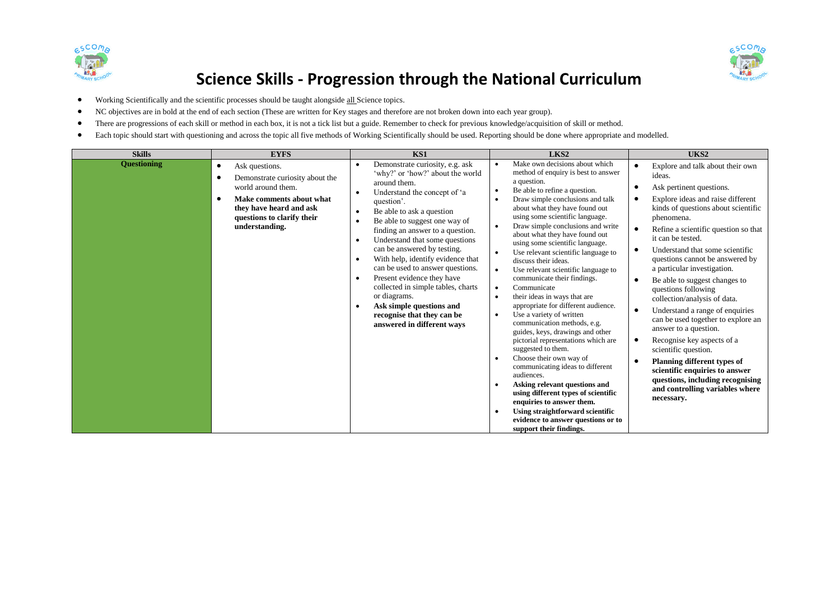



## **Science Skills - Progression through the National Curriculum**

- Working Scientifically and the scientific processes should be taught alongside all Science topics.
- NC objectives are in bold at the end of each section (These are written for Key stages and therefore are not broken down into each year group).
- There are progressions of each skill or method in each box, it is not a tick list but a guide. Remember to check for previous knowledge/acquisition of skill or method.
- Each topic should start with questioning and across the topic all five methods of Working Scientifically should be used. Reporting should be done where appropriate and modelled.

| <b>Skills</b>      | <b>EYFS</b>                                                                                                                                                                                              | KS1                                                                                                                                                                                                                                                                                                                                                                                                                                                                                                                                                                                                                                                               | LKS2                                                                                                                                                                                                                                                                                                                                                                                                                                                                                                                                                                                                                                                                                                                                                                                                                                                                                                                                                                                                                                                                                                                                                                  | UKS2                                                                                                                                                                                                                                                                                                                                                                                                                                                                                                                                                                                                                                                                                                                                                                                                          |
|--------------------|----------------------------------------------------------------------------------------------------------------------------------------------------------------------------------------------------------|-------------------------------------------------------------------------------------------------------------------------------------------------------------------------------------------------------------------------------------------------------------------------------------------------------------------------------------------------------------------------------------------------------------------------------------------------------------------------------------------------------------------------------------------------------------------------------------------------------------------------------------------------------------------|-----------------------------------------------------------------------------------------------------------------------------------------------------------------------------------------------------------------------------------------------------------------------------------------------------------------------------------------------------------------------------------------------------------------------------------------------------------------------------------------------------------------------------------------------------------------------------------------------------------------------------------------------------------------------------------------------------------------------------------------------------------------------------------------------------------------------------------------------------------------------------------------------------------------------------------------------------------------------------------------------------------------------------------------------------------------------------------------------------------------------------------------------------------------------|---------------------------------------------------------------------------------------------------------------------------------------------------------------------------------------------------------------------------------------------------------------------------------------------------------------------------------------------------------------------------------------------------------------------------------------------------------------------------------------------------------------------------------------------------------------------------------------------------------------------------------------------------------------------------------------------------------------------------------------------------------------------------------------------------------------|
| <b>Questioning</b> | Ask questions.<br>$\bullet$<br>Demonstrate curiosity about the<br>world around them.<br>Make comments about what<br>$\bullet$<br>they have heard and ask<br>questions to clarify their<br>understanding. | Demonstrate curiosity, e.g. ask<br>$\bullet$<br>'why?' or 'how?' about the world<br>around them.<br>Understand the concept of 'a<br>$\bullet$<br>question'.<br>Be able to ask a question<br>$\bullet$<br>Be able to suggest one way of<br>$\bullet$<br>finding an answer to a question.<br>Understand that some questions<br>$\bullet$<br>can be answered by testing.<br>With help, identify evidence that<br>$\bullet$<br>can be used to answer questions.<br>Present evidence they have<br>$\bullet$<br>collected in simple tables, charts<br>or diagrams.<br>Ask simple questions and<br>$\bullet$<br>recognise that they can be<br>answered in different ways | Make own decisions about which<br>method of enquiry is best to answer<br>a question.<br>Be able to refine a question.<br>$\bullet$<br>Draw simple conclusions and talk<br>$\bullet$<br>about what they have found out<br>using some scientific language.<br>Draw simple conclusions and write<br>$\bullet$<br>about what they have found out<br>using some scientific language.<br>Use relevant scientific language to<br>$\bullet$<br>discuss their ideas.<br>Use relevant scientific language to<br>$\bullet$<br>communicate their findings.<br>Communicate<br>$\bullet$<br>their ideas in ways that are<br>$\bullet$<br>appropriate for different audience.<br>Use a variety of written<br>$\bullet$<br>communication methods, e.g.<br>guides, keys, drawings and other<br>pictorial representations which are<br>suggested to them.<br>Choose their own way of<br>$\bullet$<br>communicating ideas to different<br>audiences.<br>Asking relevant questions and<br>$\bullet$<br>using different types of scientific<br>enquiries to answer them.<br>Using straightforward scientific<br>$\bullet$<br>evidence to answer questions or to<br>support their findings. | Explore and talk about their own<br>ideas.<br>Ask pertinent questions.<br>Explore ideas and raise different<br>٠<br>kinds of questions about scientific<br>phenomena.<br>Refine a scientific question so that<br>$\bullet$<br>it can be tested.<br>Understand that some scientific<br>questions cannot be answered by<br>a particular investigation.<br>Be able to suggest changes to<br>٠<br>questions following<br>collection/analysis of data.<br>Understand a range of enquiries<br>$\bullet$<br>can be used together to explore an<br>answer to a question.<br>Recognise key aspects of a<br>$\bullet$<br>scientific question.<br><b>Planning different types of</b><br>$\bullet$<br>scientific enquiries to answer<br>questions, including recognising<br>and controlling variables where<br>necessary. |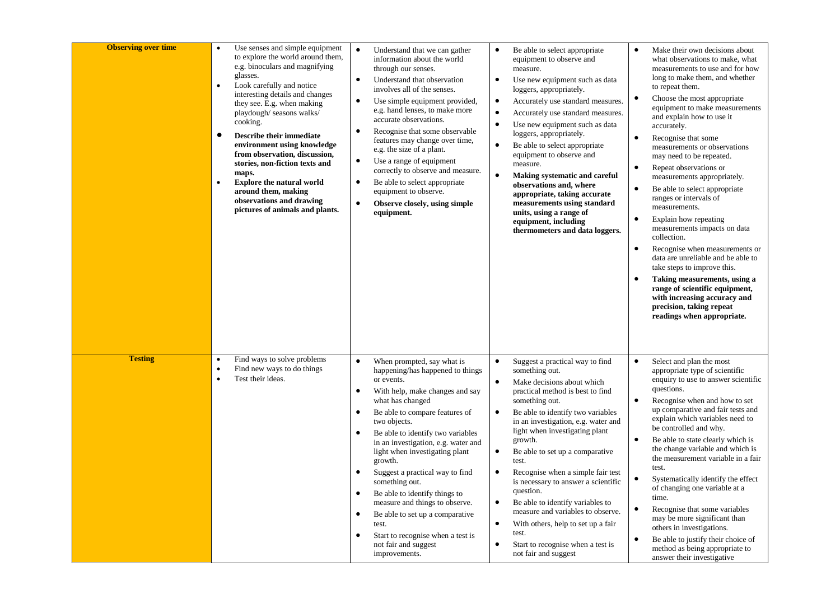| <b>Observing over time</b> | $\bullet$<br>$\bullet$<br>$\bullet$<br>$\bullet$ | Use senses and simple equipment<br>to explore the world around them,<br>e.g. binoculars and magnifying<br>glasses.<br>Look carefully and notice<br>interesting details and changes<br>they see. E.g. when making<br>playdough/ seasons walks/<br>cooking.<br>Describe their immediate<br>environment using knowledge<br>from observation, discussion,<br>stories, non-fiction texts and<br>maps.<br><b>Explore the natural world</b><br>around them, making<br>observations and drawing<br>pictures of animals and plants. | $\bullet$<br>$\bullet$<br>$\bullet$<br>$\bullet$<br>$\bullet$<br>$\bullet$<br>$\bullet$              | Understand that we can gather<br>information about the world<br>through our senses.<br>Understand that observation<br>involves all of the senses.<br>Use simple equipment provided,<br>e.g. hand lenses, to make more<br>accurate observations.<br>Recognise that some observable<br>features may change over time,<br>e.g. the size of a plant.<br>Use a range of equipment<br>correctly to observe and measure.<br>Be able to select appropriate<br>equipment to observe.<br>Observe closely, using simple<br>equipment.                                       | $\bullet$<br>$\bullet$<br>$\bullet$<br>$\bullet$<br>$\bullet$<br>$\bullet$<br>$\bullet$ | Be able to select appropriate<br>equipment to observe and<br>measure.<br>Use new equipment such as data<br>loggers, appropriately.<br>Accurately use standard measures.<br>Accurately use standard measures.<br>Use new equipment such as data<br>loggers, appropriately.<br>Be able to select appropriate<br>equipment to observe and<br>measure.<br>Making systematic and careful<br>observations and, where<br>appropriate, taking accurate<br>measurements using standard<br>units, using a range of<br>equipment, including<br>thermometers and data loggers.                       | $\bullet$<br>$\bullet$<br>$\bullet$<br>$\bullet$<br>$\bullet$<br>$\bullet$<br>$\bullet$<br>$\bullet$ | Make their own decisions about<br>what observations to make, what<br>measurements to use and for how<br>long to make them, and whether<br>to repeat them.<br>Choose the most appropriate<br>equipment to make measurements<br>and explain how to use it<br>accurately.<br>Recognise that some<br>measurements or observations<br>may need to be repeated.<br>Repeat observations or<br>measurements appropriately.<br>Be able to select appropriate<br>ranges or intervals of<br>measurements.<br>Explain how repeating<br>measurements impacts on data<br>collection.<br>Recognise when measurements or<br>data are unreliable and be able to<br>take steps to improve this.<br>Taking measurements, using a<br>range of scientific equipment,<br>with increasing accuracy and<br>precision, taking repeat<br>readings when appropriate. |
|----------------------------|--------------------------------------------------|----------------------------------------------------------------------------------------------------------------------------------------------------------------------------------------------------------------------------------------------------------------------------------------------------------------------------------------------------------------------------------------------------------------------------------------------------------------------------------------------------------------------------|------------------------------------------------------------------------------------------------------|------------------------------------------------------------------------------------------------------------------------------------------------------------------------------------------------------------------------------------------------------------------------------------------------------------------------------------------------------------------------------------------------------------------------------------------------------------------------------------------------------------------------------------------------------------------|-----------------------------------------------------------------------------------------|------------------------------------------------------------------------------------------------------------------------------------------------------------------------------------------------------------------------------------------------------------------------------------------------------------------------------------------------------------------------------------------------------------------------------------------------------------------------------------------------------------------------------------------------------------------------------------------|------------------------------------------------------------------------------------------------------|-------------------------------------------------------------------------------------------------------------------------------------------------------------------------------------------------------------------------------------------------------------------------------------------------------------------------------------------------------------------------------------------------------------------------------------------------------------------------------------------------------------------------------------------------------------------------------------------------------------------------------------------------------------------------------------------------------------------------------------------------------------------------------------------------------------------------------------------|
| <b>Testing</b>             | $\bullet$<br>$\bullet$<br>$\bullet$              | Find ways to solve problems<br>Find new ways to do things<br>Test their ideas.                                                                                                                                                                                                                                                                                                                                                                                                                                             | $\bullet$<br>$\bullet$<br>$\bullet$<br>$\bullet$<br>$\bullet$<br>$\bullet$<br>$\bullet$<br>$\bullet$ | When prompted, say what is<br>happening/has happened to things<br>or events.<br>With help, make changes and say<br>what has changed<br>Be able to compare features of<br>two objects.<br>Be able to identify two variables<br>in an investigation, e.g. water and<br>light when investigating plant<br>growth.<br>Suggest a practical way to find<br>something out.<br>Be able to identify things to<br>measure and things to observe.<br>Be able to set up a comparative<br>test.<br>Start to recognise when a test is<br>not fair and suggest<br>improvements. | $\bullet$<br>$\bullet$<br>$\bullet$<br>$\bullet$<br>$\bullet$<br>$\bullet$<br>$\bullet$ | Suggest a practical way to find<br>something out.<br>Make decisions about which<br>practical method is best to find<br>something out.<br>Be able to identify two variables<br>in an investigation, e.g. water and<br>light when investigating plant<br>growth.<br>Be able to set up a comparative<br>test.<br>Recognise when a simple fair test<br>is necessary to answer a scientific<br>question.<br>Be able to identify variables to<br>measure and variables to observe.<br>With others, help to set up a fair<br>test.<br>Start to recognise when a test is<br>not fair and suggest | $\bullet$<br>$\bullet$<br>$\bullet$<br>$\bullet$<br>$\bullet$<br>$\bullet$                           | Select and plan the most<br>appropriate type of scientific<br>enquiry to use to answer scientific<br>questions.<br>Recognise when and how to set<br>up comparative and fair tests and<br>explain which variables need to<br>be controlled and why.<br>Be able to state clearly which is<br>the change variable and which is<br>the measurement variable in a fair<br>test.<br>Systematically identify the effect<br>of changing one variable at a<br>time.<br>Recognise that some variables<br>may be more significant than<br>others in investigations.<br>Be able to justify their choice of<br>method as being appropriate to<br>answer their investigative                                                                                                                                                                            |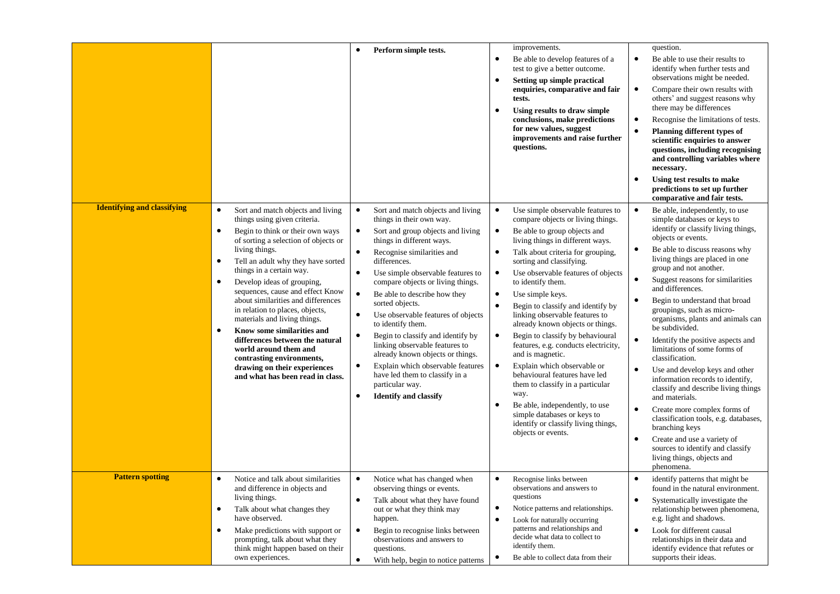|                                    |                                                                                                                                                                                                                                                                                                                                                                                                                                                                                                                                                                                                                                                                          | Perform simple tests.<br>$\bullet$                                                                                                                                                                                                                                                                                                                                                                                                                                                                                                                                                                                                                                                                                              | improvements.<br>Be able to develop features of a<br>$\bullet$<br>test to give a better outcome.<br>Setting up simple practical<br>$\bullet$<br>enquiries, comparative and fair<br>tests.<br>Using results to draw simple<br>$\bullet$<br>conclusions, make predictions<br>for new values, suggest<br>improvements and raise further<br>questions.                                                                                                                                                                                                                                                                                                                                                                                                                                                                                                                   | question.<br>Be able to use their results to<br>$\bullet$<br>identify when further tests and<br>observations might be needed.<br>Compare their own results with<br>$\bullet$<br>others' and suggest reasons why<br>there may be differences<br>Recognise the limitations of tests.<br>$\bullet$<br>Planning different types of<br>$\bullet$<br>scientific enquiries to answer<br>questions, including recognising<br>and controlling variables where<br>necessary.<br>Using test results to make<br>$\bullet$<br>predictions to set up further<br>comparative and fair tests.                                                                                                                                                                                                                                                                                                                                                                    |
|------------------------------------|--------------------------------------------------------------------------------------------------------------------------------------------------------------------------------------------------------------------------------------------------------------------------------------------------------------------------------------------------------------------------------------------------------------------------------------------------------------------------------------------------------------------------------------------------------------------------------------------------------------------------------------------------------------------------|---------------------------------------------------------------------------------------------------------------------------------------------------------------------------------------------------------------------------------------------------------------------------------------------------------------------------------------------------------------------------------------------------------------------------------------------------------------------------------------------------------------------------------------------------------------------------------------------------------------------------------------------------------------------------------------------------------------------------------|----------------------------------------------------------------------------------------------------------------------------------------------------------------------------------------------------------------------------------------------------------------------------------------------------------------------------------------------------------------------------------------------------------------------------------------------------------------------------------------------------------------------------------------------------------------------------------------------------------------------------------------------------------------------------------------------------------------------------------------------------------------------------------------------------------------------------------------------------------------------|--------------------------------------------------------------------------------------------------------------------------------------------------------------------------------------------------------------------------------------------------------------------------------------------------------------------------------------------------------------------------------------------------------------------------------------------------------------------------------------------------------------------------------------------------------------------------------------------------------------------------------------------------------------------------------------------------------------------------------------------------------------------------------------------------------------------------------------------------------------------------------------------------------------------------------------------------|
| <b>Identifying and classifying</b> | Sort and match objects and living<br>$\bullet$<br>things using given criteria.<br>Begin to think or their own ways<br>$\bullet$<br>of sorting a selection of objects or<br>living things.<br>Tell an adult why they have sorted<br>$\bullet$<br>things in a certain way.<br>Develop ideas of grouping,<br>$\bullet$<br>sequences, cause and effect Know<br>about similarities and differences<br>in relation to places, objects,<br>materials and living things.<br>Know some similarities and<br>$\bullet$<br>differences between the natural<br>world around them and<br>contrasting environments,<br>drawing on their experiences<br>and what has been read in class. | $\bullet$<br>Sort and match objects and living<br>things in their own way.<br>Sort and group objects and living<br>$\bullet$<br>things in different ways.<br>Recognise similarities and<br>$\bullet$<br>differences.<br>Use simple observable features to<br>$\bullet$<br>compare objects or living things.<br>Be able to describe how they<br>$\bullet$<br>sorted objects.<br>Use observable features of objects<br>$\bullet$<br>to identify them.<br>Begin to classify and identify by<br>$\bullet$<br>linking observable features to<br>already known objects or things.<br>Explain which observable features<br>$\bullet$<br>have led them to classify in a<br>particular way.<br><b>Identify and classify</b><br>$\bullet$ | Use simple observable features to<br>$\bullet$<br>compare objects or living things.<br>Be able to group objects and<br>$\bullet$<br>living things in different ways.<br>Talk about criteria for grouping,<br>$\bullet$<br>sorting and classifying.<br>Use observable features of objects<br>$\bullet$<br>to identify them.<br>Use simple keys.<br>$\bullet$<br>Begin to classify and identify by<br>$\bullet$<br>linking observable features to<br>already known objects or things.<br>Begin to classify by behavioural<br>$\bullet$<br>features, e.g. conducts electricity,<br>and is magnetic.<br>Explain which observable or<br>$\bullet$<br>behavioural features have led<br>them to classify in a particular<br>way.<br>Be able, independently, to use<br>$\bullet$<br>simple databases or keys to<br>identify or classify living things,<br>objects or events. | $\bullet$<br>Be able, independently, to use<br>simple databases or keys to<br>identify or classify living things,<br>objects or events.<br>Be able to discuss reasons why<br>$\bullet$<br>living things are placed in one<br>group and not another.<br>Suggest reasons for similarities<br>$\bullet$<br>and differences.<br>Begin to understand that broad<br>$\bullet$<br>groupings, such as micro-<br>organisms, plants and animals can<br>be subdivided.<br>Identify the positive aspects and<br>$\bullet$<br>limitations of some forms of<br>classification.<br>Use and develop keys and other<br>$\bullet$<br>information records to identify,<br>classify and describe living things<br>and materials.<br>Create more complex forms of<br>$\bullet$<br>classification tools, e.g. databases,<br>branching keys<br>Create and use a variety of<br>$\bullet$<br>sources to identify and classify<br>living things, objects and<br>phenomena. |
| <b>Pattern spotting</b>            | $\bullet$<br>Notice and talk about similarities<br>and difference in objects and<br>living things.<br>Talk about what changes they<br>$\bullet$<br>have observed.<br>Make predictions with support or<br>$\bullet$<br>prompting, talk about what they<br>think might happen based on their<br>own experiences.                                                                                                                                                                                                                                                                                                                                                           | $\bullet$<br>Notice what has changed when<br>observing things or events.<br>Talk about what they have found<br>$\bullet$<br>out or what they think may<br>happen.<br>Begin to recognise links between<br>$\bullet$<br>observations and answers to<br>questions.                                                                                                                                                                                                                                                                                                                                                                                                                                                                 | $\bullet$<br>Recognise links between<br>observations and answers to<br>questions<br>$\bullet$<br>Notice patterns and relationships.<br>Look for naturally occurring<br>$\bullet$<br>patterns and relationships and<br>decide what data to collect to<br>identify them.<br>Be able to collect data from their<br>$\bullet$                                                                                                                                                                                                                                                                                                                                                                                                                                                                                                                                            | identify patterns that might be<br>$\bullet$<br>found in the natural environment.<br>Systematically investigate the<br>$\bullet$<br>relationship between phenomena,<br>e.g. light and shadows.<br>Look for different causal<br>$\bullet$<br>relationships in their data and<br>identify evidence that refutes or<br>supports their ideas.                                                                                                                                                                                                                                                                                                                                                                                                                                                                                                                                                                                                        |
|                                    |                                                                                                                                                                                                                                                                                                                                                                                                                                                                                                                                                                                                                                                                          | With help, begin to notice patterns<br>$\bullet$                                                                                                                                                                                                                                                                                                                                                                                                                                                                                                                                                                                                                                                                                |                                                                                                                                                                                                                                                                                                                                                                                                                                                                                                                                                                                                                                                                                                                                                                                                                                                                      |                                                                                                                                                                                                                                                                                                                                                                                                                                                                                                                                                                                                                                                                                                                                                                                                                                                                                                                                                  |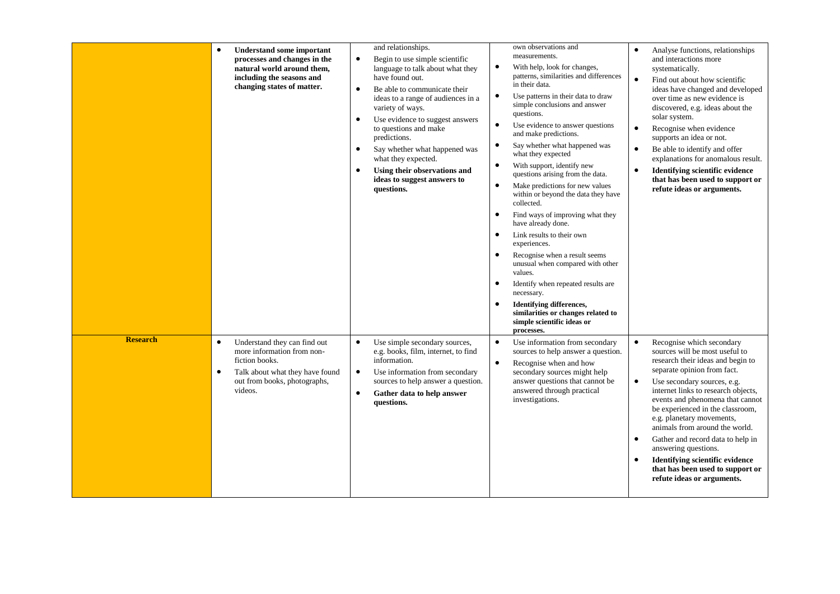|                 | <b>Understand some important</b><br>$\bullet$<br>processes and changes in the<br>natural world around them,<br>including the seasons and<br>changing states of matter.               | and relationships.<br>Begin to use simple scientific<br>$\bullet$<br>language to talk about what they<br>have found out.<br>Be able to communicate their<br>$\bullet$<br>ideas to a range of audiences in a<br>variety of ways.<br>Use evidence to suggest answers<br>$\bullet$<br>to questions and make<br>predictions.<br>Say whether what happened was<br>$\bullet$<br>what they expected.<br>Using their observations and<br>$\bullet$<br>ideas to suggest answers to<br>questions. | own observations and<br>measurements.<br>$\bullet$<br>With help, look for changes,<br>patterns, similarities and differences<br>in their data.<br>Use patterns in their data to draw<br>$\bullet$<br>simple conclusions and answer<br>questions.<br>$\bullet$<br>Use evidence to answer questions<br>and make predictions.<br>Say whether what happened was<br>$\bullet$<br>what they expected<br>$\bullet$<br>With support, identify new<br>questions arising from the data.<br>$\bullet$<br>Make predictions for new values<br>within or beyond the data they have<br>collected.<br>$\bullet$<br>Find ways of improving what they<br>have already done.<br>Link results to their own<br>$\bullet$<br>experiences.<br>$\bullet$<br>Recognise when a result seems<br>unusual when compared with other<br>values.<br>$\bullet$<br>Identify when repeated results are<br>necessary.<br><b>Identifying differences,</b><br>$\bullet$<br>similarities or changes related to<br>simple scientific ideas or<br>processes. | Analyse functions, relationships<br>$\bullet$<br>and interactions more<br>systematically.<br>$\bullet$<br>Find out about how scientific<br>ideas have changed and developed<br>over time as new evidence is<br>discovered, e.g. ideas about the<br>solar system.<br>Recognise when evidence<br>$\bullet$<br>supports an idea or not.<br>Be able to identify and offer<br>$\bullet$<br>explanations for anomalous result.<br><b>Identifying scientific evidence</b><br>$\bullet$<br>that has been used to support or<br>refute ideas or arguments.                         |
|-----------------|--------------------------------------------------------------------------------------------------------------------------------------------------------------------------------------|-----------------------------------------------------------------------------------------------------------------------------------------------------------------------------------------------------------------------------------------------------------------------------------------------------------------------------------------------------------------------------------------------------------------------------------------------------------------------------------------|---------------------------------------------------------------------------------------------------------------------------------------------------------------------------------------------------------------------------------------------------------------------------------------------------------------------------------------------------------------------------------------------------------------------------------------------------------------------------------------------------------------------------------------------------------------------------------------------------------------------------------------------------------------------------------------------------------------------------------------------------------------------------------------------------------------------------------------------------------------------------------------------------------------------------------------------------------------------------------------------------------------------|---------------------------------------------------------------------------------------------------------------------------------------------------------------------------------------------------------------------------------------------------------------------------------------------------------------------------------------------------------------------------------------------------------------------------------------------------------------------------------------------------------------------------------------------------------------------------|
| <b>Research</b> | Understand they can find out<br>$\bullet$<br>more information from non-<br>fiction books.<br>Talk about what they have found<br>$\bullet$<br>out from books, photographs,<br>videos. | Use simple secondary sources,<br>$\bullet$<br>e.g. books, film, internet, to find<br>information.<br>Use information from secondary<br>$\bullet$<br>sources to help answer a question.<br>$\bullet$<br>Gather data to help answer<br>questions.                                                                                                                                                                                                                                         | $\bullet$<br>Use information from secondary<br>sources to help answer a question.<br>$\bullet$<br>Recognise when and how<br>secondary sources might help<br>answer questions that cannot be<br>answered through practical<br>investigations.                                                                                                                                                                                                                                                                                                                                                                                                                                                                                                                                                                                                                                                                                                                                                                        | $\bullet$<br>Recognise which secondary<br>sources will be most useful to<br>research their ideas and begin to<br>separate opinion from fact.<br>Use secondary sources, e.g.<br>$\bullet$<br>internet links to research objects,<br>events and phenomena that cannot<br>be experienced in the classroom,<br>e.g. planetary movements,<br>animals from around the world.<br>Gather and record data to help in<br>$\bullet$<br>answering questions.<br><b>Identifying scientific evidence</b><br>$\bullet$<br>that has been used to support or<br>refute ideas or arguments. |